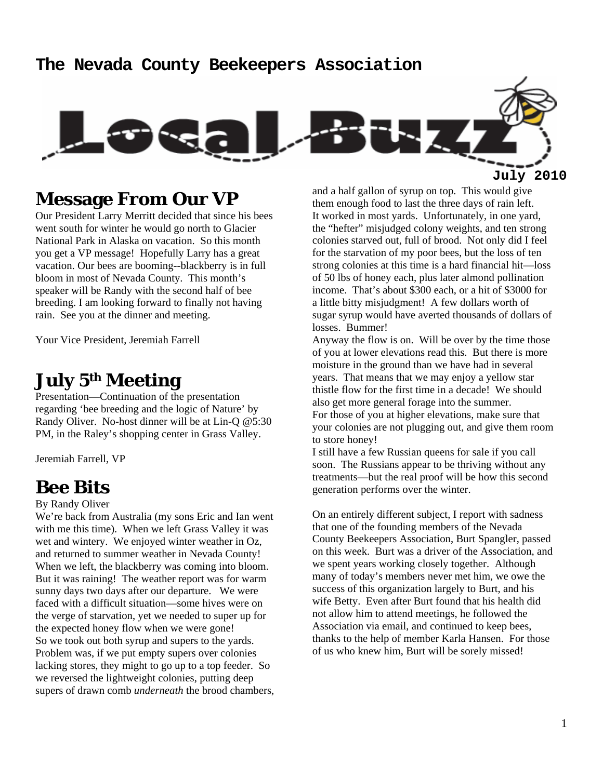#### **The Nevada County Beekeepers Association**



**Message From Our VP** 

Our President Larry Merritt decided that since his bees went south for winter he would go north to Glacier National Park in Alaska on vacation. So this month you get a VP message! Hopefully Larry has a great vacation. Our bees are booming--blackberry is in full bloom in most of Nevada County. This month's speaker will be Randy with the second half of bee breeding. I am looking forward to finally not having rain. See you at the dinner and meeting.

Your Vice President, Jeremiah Farrell

### **July 5th Meeting**

Presentation—Continuation of the presentation regarding 'bee breeding and the logic of Nature' by Randy Oliver. No-host dinner will be at Lin-Q @5:30 PM, in the Raley's shopping center in Grass Valley.

Jeremiah Farrell, VP

### **Bee Bits**

#### By Randy Oliver

We're back from Australia (my sons Eric and Ian went with me this time). When we left Grass Valley it was wet and wintery. We enjoyed winter weather in Oz, and returned to summer weather in Nevada County! When we left, the blackberry was coming into bloom. But it was raining! The weather report was for warm sunny days two days after our departure. We were faced with a difficult situation—some hives were on the verge of starvation, yet we needed to super up for the expected honey flow when we were gone! So we took out both syrup and supers to the yards. Problem was, if we put empty supers over colonies lacking stores, they might to go up to a top feeder. So we reversed the lightweight colonies, putting deep supers of drawn comb *underneath* the brood chambers,

and a half gallon of syrup on top. This would give them enough food to last the three days of rain left. It worked in most yards. Unfortunately, in one yard, the "hefter" misjudged colony weights, and ten strong colonies starved out, full of brood. Not only did I feel for the starvation of my poor bees, but the loss of ten strong colonies at this time is a hard financial hit—loss of 50 lbs of honey each, plus later almond pollination income. That's about \$300 each, or a hit of \$3000 for a little bitty misjudgment! A few dollars worth of sugar syrup would have averted thousands of dollars of losses. Bummer!

Anyway the flow is on. Will be over by the time those of you at lower elevations read this. But there is more moisture in the ground than we have had in several years. That means that we may enjoy a yellow star thistle flow for the first time in a decade! We should also get more general forage into the summer. For those of you at higher elevations, make sure that your colonies are not plugging out, and give them room to store honey!

I still have a few Russian queens for sale if you call soon. The Russians appear to be thriving without any treatments—but the real proof will be how this second generation performs over the winter.

On an entirely different subject, I report with sadness that one of the founding members of the Nevada County Beekeepers Association, Burt Spangler, passed on this week. Burt was a driver of the Association, and we spent years working closely together. Although many of today's members never met him, we owe the success of this organization largely to Burt, and his wife Betty. Even after Burt found that his health did not allow him to attend meetings, he followed the Association via email, and continued to keep bees, thanks to the help of member Karla Hansen. For those of us who knew him, Burt will be sorely missed!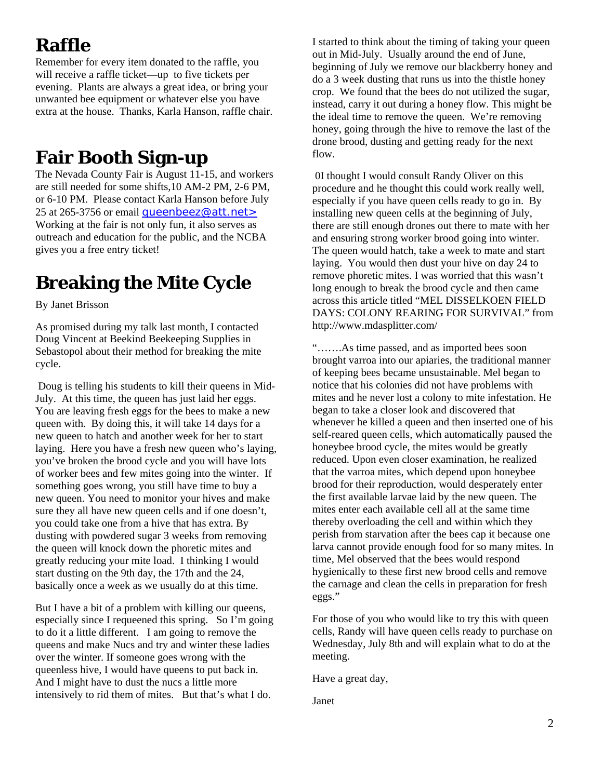# **Raffle**

Remember for every item donated to the raffle, you will receive a raffle ticket—up to five tickets per evening. Plants are always a great idea, or bring your unwanted bee equipment or whatever else you have extra at the house. Thanks, Karla Hanson, raffle chair.

# **Fair Booth Sign-up**

The Nevada County Fair is August 11-15, and workers are still needed for some shifts,10 AM-2 PM, 2-6 PM, or 6-10 PM. Please contact Karla Hanson before July 25 at 265-3756 or email queenbeez@att.net > Working at the fair is not only fun, it also serves as outreach and education for the public, and the NCBA gives you a free entry ticket!

## **Breaking the Mite Cycle**

By Janet Brisson

As promised during my talk last month, I contacted Doug Vincent at Beekind Beekeeping Supplies in Sebastopol about their method for breaking the mite cycle.

 Doug is telling his students to kill their queens in Mid-July. At this time, the queen has just laid her eggs. You are leaving fresh eggs for the bees to make a new queen with. By doing this, it will take 14 days for a new queen to hatch and another week for her to start laying. Here you have a fresh new queen who's laying, you've broken the brood cycle and you will have lots of worker bees and few mites going into the winter. If something goes wrong, you still have time to buy a new queen. You need to monitor your hives and make sure they all have new queen cells and if one doesn't, you could take one from a hive that has extra. By dusting with powdered sugar 3 weeks from removing the queen will knock down the phoretic mites and greatly reducing your mite load. I thinking I would start dusting on the 9th day, the 17th and the 24, basically once a week as we usually do at this time.

But I have a bit of a problem with killing our queens, especially since I requeened this spring. So I'm going to do it a little different. I am going to remove the queens and make Nucs and try and winter these ladies over the winter. If someone goes wrong with the queenless hive, I would have queens to put back in. And I might have to dust the nucs a little more intensively to rid them of mites. But that's what I do.

I started to think about the timing of taking your queen out in Mid-July. Usually around the end of June, beginning of July we remove our blackberry honey and do a 3 week dusting that runs us into the thistle honey crop. We found that the bees do not utilized the sugar, instead, carry it out during a honey flow. This might be the ideal time to remove the queen. We're removing honey, going through the hive to remove the last of the drone brood, dusting and getting ready for the next flow.

 0I thought I would consult Randy Oliver on this procedure and he thought this could work really well, especially if you have queen cells ready to go in. By installing new queen cells at the beginning of July, there are still enough drones out there to mate with her and ensuring strong worker brood going into winter. The queen would hatch, take a week to mate and start laying. You would then dust your hive on day 24 to remove phoretic mites. I was worried that this wasn't long enough to break the brood cycle and then came across this article titled "MEL DISSELKOEN FIELD DAYS: COLONY REARING FOR SURVIVAL" from http://www.mdasplitter.com/

"…….As time passed, and as imported bees soon brought varroa into our apiaries, the traditional manner of keeping bees became unsustainable. Mel began to notice that his colonies did not have problems with mites and he never lost a colony to mite infestation. He began to take a closer look and discovered that whenever he killed a queen and then inserted one of his self-reared queen cells, which automatically paused the honeybee brood cycle, the mites would be greatly reduced. Upon even closer examination, he realized that the varroa mites, which depend upon honeybee brood for their reproduction, would desperately enter the first available larvae laid by the new queen. The mites enter each available cell all at the same time thereby overloading the cell and within which they perish from starvation after the bees cap it because one larva cannot provide enough food for so many mites. In time, Mel observed that the bees would respond hygienically to these first new brood cells and remove the carnage and clean the cells in preparation for fresh eggs."

For those of you who would like to try this with queen cells, Randy will have queen cells ready to purchase on Wednesday, July 8th and will explain what to do at the meeting.

Have a great day,

Janet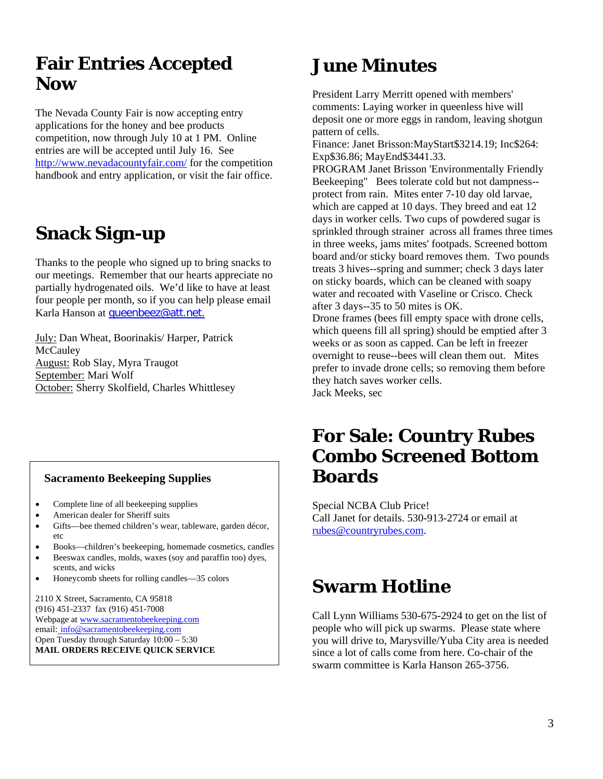### **Fair Entries Accepted Now**

The Nevada County Fair is now accepting entry applications for the honey and bee products competition, now through July 10 at 1 PM. Online entries are will be accepted until July 16. See http://www.nevadacountyfair.com/ for the competition handbook and entry application, or visit the fair office.

# **Snack Sign-up**

Thanks to the people who signed up to bring snacks to our meetings. Remember that our hearts appreciate no partially hydrogenated oils. We'd like to have at least four people per month, so if you can help please email Karla Hanson at queenbeez@att.net.

July: Dan Wheat, Boorinakis/ Harper, Patrick **McCauley** August: Rob Slay, Myra Traugot September: Mari Wolf October: Sherry Skolfield, Charles Whittlesey

#### **Sacramento Beekeeping Supplies**

- Complete line of all beekeeping supplies
- American dealer for Sheriff suits
- Gifts—bee themed children's wear, tableware, garden décor, etc
- Books—children's beekeeping, homemade cosmetics, candles
- Beeswax candles, molds, waxes (soy and paraffin too) dyes, scents, and wicks
- Honeycomb sheets for rolling candles—35 colors

2110 X Street, Sacramento, CA 95818 (916) 451-2337 fax (916) 451-7008 Webpage at www.sacramentobeekeeping.com email: info@sacramentobeekeeping.com Open Tuesday through Saturday 10:00 – 5:30 **MAIL ORDERS RECEIVE QUICK SERVICE** 

# **June Minutes**

President Larry Merritt opened with members' comments: Laying worker in queenless hive will deposit one or more eggs in random, leaving shotgun pattern of cells.

Finance: Janet Brisson:MayStart\$3214.19; Inc\$264: Exp\$36.86; MayEnd\$3441.33.

PROGRAM Janet Brisson 'Environmentally Friendly Beekeeping" Bees tolerate cold but not dampness- protect from rain. Mites enter 7-10 day old larvae, which are capped at 10 days. They breed and eat 12 days in worker cells. Two cups of powdered sugar is sprinkled through strainer across all frames three times in three weeks, jams mites' footpads. Screened bottom board and/or sticky board removes them. Two pounds treats 3 hives--spring and summer; check 3 days later on sticky boards, which can be cleaned with soapy water and recoated with Vaseline or Crisco. Check after 3 days--35 to 50 mites is OK.

Drone frames (bees fill empty space with drone cells, which queens fill all spring) should be emptied after 3 weeks or as soon as capped. Can be left in freezer overnight to reuse--bees will clean them out. Mites prefer to invade drone cells; so removing them before they hatch saves worker cells. Jack Meeks, sec

**For Sale: Country Rubes Combo Screened Bottom Boards** 

Special NCBA Club Price! Call Janet for details. 530-913-2724 or email at rubes@countryrubes.com.

# **Swarm Hotline**

Call Lynn Williams 530-675-2924 to get on the list of people who will pick up swarms. Please state where you will drive to, Marysville/Yuba City area is needed since a lot of calls come from here. Co-chair of the swarm committee is Karla Hanson 265-3756.